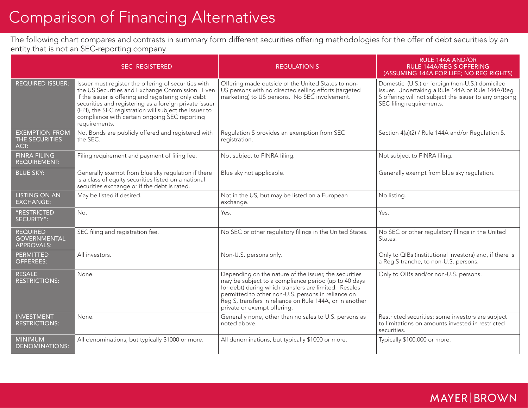## Comparison of Financing Alternatives

The following chart compares and contrasts in summary form different securities offering methodologies for the offer of debt securities by an entity that is not an SEC-reporting company.

|                                                             | <b>SEC REGISTERED</b>                                                                                                                                                                                                                                                                                                                                | <b>REGULATION S</b>                                                                                                                                                                                                                                                                                                     | <b>RULE 144A AND/OR</b><br><b>RULE 144A/REG S OFFERING</b><br>(ASSUMING 144A FOR LIFE; NO REG RIGHTS)                                                                                    |
|-------------------------------------------------------------|------------------------------------------------------------------------------------------------------------------------------------------------------------------------------------------------------------------------------------------------------------------------------------------------------------------------------------------------------|-------------------------------------------------------------------------------------------------------------------------------------------------------------------------------------------------------------------------------------------------------------------------------------------------------------------------|------------------------------------------------------------------------------------------------------------------------------------------------------------------------------------------|
| <b>REQUIRED ISSUER:</b>                                     | Issuer must register the offering of securities with<br>the US Securities and Exchange Commission. Even<br>if the issuer is offering and registering only debt<br>securities and registering as a foreign private issuer<br>(FPI), the SEC registration will subject the issuer to<br>compliance with certain ongoing SEC reporting<br>requirements. | Offering made outside of the United States to non-<br>US persons with no directed selling efforts (targeted<br>marketing) to US persons. No SEC involvement.                                                                                                                                                            | Domestic (U.S.) or foreign (non-U.S.) domiciled<br>issuer. Undertaking a Rule 144A or Rule 144A/Reg<br>S offering will not subject the issuer to any ongoing<br>SEC filing requirements. |
| <b>EXEMPTION FROM</b><br>THE SECURITIES<br>ACT:             | No. Bonds are publicly offered and registered with<br>the SEC.                                                                                                                                                                                                                                                                                       | Regulation S provides an exemption from SEC<br>registration.                                                                                                                                                                                                                                                            | Section 4(a)(2) / Rule 144A and/or Regulation S.                                                                                                                                         |
| <b>FINRA FILING</b><br><b>REQUIREMENT:</b>                  | Filing requirement and payment of filing fee.                                                                                                                                                                                                                                                                                                        | Not subject to FINRA filing.                                                                                                                                                                                                                                                                                            | Not subject to FINRA filing.                                                                                                                                                             |
| <b>BLUE SKY:</b>                                            | Generally exempt from blue sky regulation if there<br>is a class of equity securities listed on a national<br>securities exchange or if the debt is rated.                                                                                                                                                                                           | Blue sky not applicable.                                                                                                                                                                                                                                                                                                | Generally exempt from blue sky regulation.                                                                                                                                               |
| <b>LISTING ON AN</b><br><b>EXCHANGE:</b>                    | May be listed if desired.                                                                                                                                                                                                                                                                                                                            | Not in the US, but may be listed on a European<br>exchange.                                                                                                                                                                                                                                                             | No listing.                                                                                                                                                                              |
| "RESTRICTED<br>SECURITY":                                   | No.                                                                                                                                                                                                                                                                                                                                                  | Yes.                                                                                                                                                                                                                                                                                                                    | Yes.                                                                                                                                                                                     |
| <b>REQUIRED</b><br><b>GOVERNMENTAL</b><br><b>APPROVALS:</b> | SEC filing and registration fee.                                                                                                                                                                                                                                                                                                                     | No SEC or other regulatory filings in the United States.                                                                                                                                                                                                                                                                | No SEC or other regulatory filings in the United<br>States.                                                                                                                              |
| <b>PERMITTED</b><br><b>OFFEREES:</b>                        | All investors.                                                                                                                                                                                                                                                                                                                                       | Non-U.S. persons only.                                                                                                                                                                                                                                                                                                  | Only to QIBs (institutional investors) and, if there is<br>a Reg S tranche, to non-U.S. persons.                                                                                         |
| <b>RESALE</b><br><b>RESTRICTIONS:</b>                       | None.                                                                                                                                                                                                                                                                                                                                                | Depending on the nature of the issuer, the securities<br>may be subject to a compliance period (up to 40 days<br>for debt) during which transfers are limited. Resales<br>permitted to other non-U.S. persons in reliance on<br>Reg S, transfers in reliance on Rule 144A, or in another<br>private or exempt offering. | Only to QIBs and/or non-U.S. persons.                                                                                                                                                    |
| <b>INVESTMENT</b><br><b>RESTRICTIONS:</b>                   | None.                                                                                                                                                                                                                                                                                                                                                | Generally none, other than no sales to U.S. persons as<br>noted above.                                                                                                                                                                                                                                                  | Restricted securities; some investors are subject<br>to limitations on amounts invested in restricted<br>securities.                                                                     |
| <b>MINIMUM</b><br><b>DENOMINATIONS:</b>                     | All denominations, but typically \$1000 or more.                                                                                                                                                                                                                                                                                                     | All denominations, but typically \$1000 or more.                                                                                                                                                                                                                                                                        | Typically \$100,000 or more.                                                                                                                                                             |

## **MAYER BROWN**